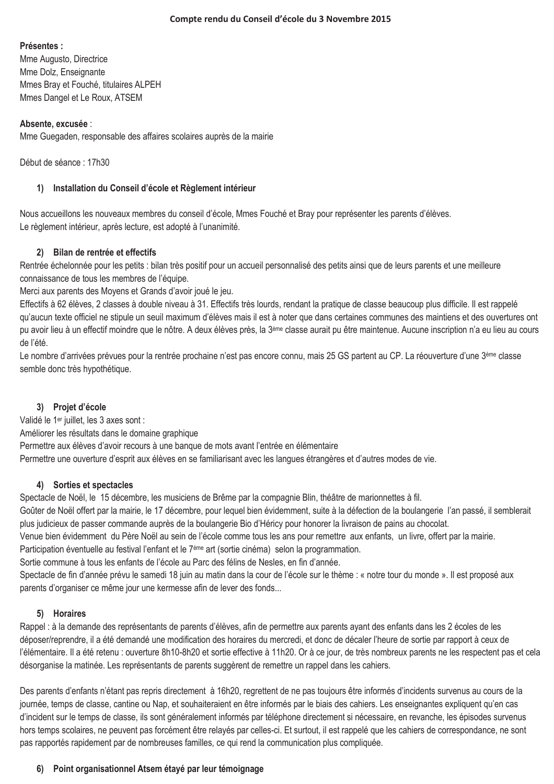#### Présentes :

Mme Augusto, Directrice Mme Dolz, Enseignante Mmes Bray et Fouché, titulaires ALPEH Mmes Dangel et Le Roux, ATSEM

### Absente, excusée :

Mme Guegaden, responsable des affaires scolaires auprès de la mairie

Début de séance : 17h30

#### 1) Installation du Conseil d'école et Règlement intérieur

Nous accueillons les nouveaux membres du conseil d'école. Mmes Fouché et Bray pour représenter les parents d'élèves. Le règlement intérieur, après lecture, est adopté à l'unanimité.

### 2) Bilan de rentrée et effectifs

Rentrée échelonnée pour les petits : bilan très positif pour un accueil personnalisé des petits ainsi que de leurs parents et une meilleure connaissance de tous les membres de l'équipe.

Merci aux parents des Moyens et Grands d'avoir joué le jeu.

Effectifs à 62 élèves, 2 classes à double niveau à 31. Effectifs très lourds, rendant la pratique de classe beaucoup plus difficile. Il est rappelé qu'aucun texte officiel ne stipule un seuil maximum d'élèves mais il est à noter que dans certaines communes des maintiens et des ouvertures ont pu avoir lieu à un effectif moindre que le nôtre. A deux élèves près, la 3<sup>ème</sup> classe aurait pu être maintenue. Aucune inscription n'a eu lieu au cours de l'été

Le nombre d'arrivées prévues pour la rentrée prochaine n'est pas encore connu, mais 25 GS partent au CP. La réouverture d'une 3ème classe semble donc très hypothétique.

### 3) Projet d'école

Validé le 1<sup>er</sup> juillet, les 3 axes sont : Améliorer les résultats dans le domaine graphique Permettre aux élèves d'avoir recours à une banque de mots avant l'entrée en élémentaire Permettre une ouverture d'esprit aux élèves en se familiarisant avec les langues étrangères et d'autres modes de vie.

### 4) Sorties et spectacles

Spectacle de Noël, le 15 décembre, les musiciens de Brême par la compagnie Blin, théâtre de marionnettes à fil. Goûter de Noël offert par la mairie, le 17 décembre, pour lequel bien évidemment, suite à la défection de la boulangerie l'an passé, il semblerait

plus judicieux de passer commande auprès de la boulangerie Bio d'Héricy pour honorer la livraison de pains au chocolat.

Venue bien évidemment du Père Noël au sein de l'école comme tous les ans pour remettre aux enfants, un livre, offert par la mairie,

Participation éventuelle au festival l'enfant et le 7<sup>ème</sup> art (sortie cinéma) selon la programmation.

Sortie commune à tous les enfants de l'école au Parc des félins de Nesles, en fin d'année.

Spectacle de fin d'année prévu le samedi 18 juin au matin dans la cour de l'école sur le thème : « notre tour du monde ». Il est proposé aux parents d'organiser ce même jour une kermesse afin de lever des fonds...

### 5) Horaires

Rappel : à la demande des représentants de parents d'élèves, afin de permettre aux parents ayant des enfants dans les 2 écoles de les déposer/reprendre, il a été demandé une modification des horaires du mercredi, et donc de décaler l'heure de sortie par rapport à ceux de l'élémentaire. Il a été retenu : ouverture 8h10-8h20 et sortie effective à 11h20. Or à ce jour, de très nombreux parents ne les respectent pas et cela désorganise la matinée. Les représentants de parents suggèrent de remettre un rappel dans les cahiers.

Des parents d'enfants n'étant pas repris directement à 16h20, regrettent de ne pas toujours être informés d'incidents survenus au cours de la journée, temps de classe, cantine ou Nap, et souhaiteraient en être informés par le biais des cahiers. Les enseignantes expliquent qu'en cas d'incident sur le temps de classe, ils sont généralement informés par téléphone directement si nécessaire, en revanche, les épisodes survenus hors temps scolaires, ne peuvent pas forcément être relayés par celles-ci. Et surtout, il est rappelé que les cahiers de correspondance, ne sont pas rapportés rapidement par de nombreuses familles, ce qui rend la communication plus compliquée.

### 6) Point organisationnel Atsem étayé par leur témoignage